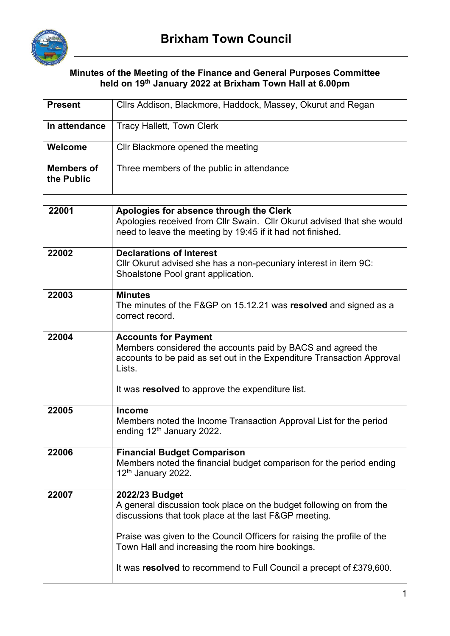

Г

## **Minutes of the Meeting of the Finance and General Purposes Committee held on 19th January 2022 at Brixham Town Hall at 6.00pm**

| <b>Present</b>                  | Cllrs Addison, Blackmore, Haddock, Massey, Okurut and Regan                                                                                                                     |  |  |
|---------------------------------|---------------------------------------------------------------------------------------------------------------------------------------------------------------------------------|--|--|
| In attendance                   | <b>Tracy Hallett, Town Clerk</b>                                                                                                                                                |  |  |
| Welcome                         | Cllr Blackmore opened the meeting                                                                                                                                               |  |  |
| <b>Members of</b><br>the Public | Three members of the public in attendance                                                                                                                                       |  |  |
|                                 |                                                                                                                                                                                 |  |  |
| 22001                           | Apologies for absence through the Clerk<br>Apologies received from Cllr Swain. Cllr Okurut advised that she would<br>need to leave the meeting by 19:45 if it had not finished. |  |  |
| 22002                           | <b>Declarations of Interest</b><br>Cllr Okurut advised she has a non-pecuniary interest in item 9C:<br>Shoalstone Pool grant application.                                       |  |  |
| 22003                           | <b>Minutes</b><br>The minutes of the F&GP on 15.12.21 was resolved and signed as a<br>correct record.                                                                           |  |  |
| 22004                           | <b>Accounts for Payment</b><br>Members considered the accounts paid by BACS and agreed the<br>accounts to be paid as set out in the Expenditure Transaction Approval<br>Lists.  |  |  |
|                                 | It was resolved to approve the expenditure list.                                                                                                                                |  |  |
| 22005                           | <b>Income</b><br>Members noted the Income Transaction Approval List for the period<br>ending $12th$ January 2022.                                                               |  |  |
| 22006                           | <b>Financial Budget Comparison</b><br>Members noted the financial budget comparison for the period ending<br>12 <sup>th</sup> January 2022.                                     |  |  |
| 22007                           | 2022/23 Budget<br>A general discussion took place on the budget following on from the<br>discussions that took place at the last F&GP meeting.                                  |  |  |
|                                 | Praise was given to the Council Officers for raising the profile of the<br>Town Hall and increasing the room hire bookings.                                                     |  |  |
|                                 | It was resolved to recommend to Full Council a precept of £379,600.                                                                                                             |  |  |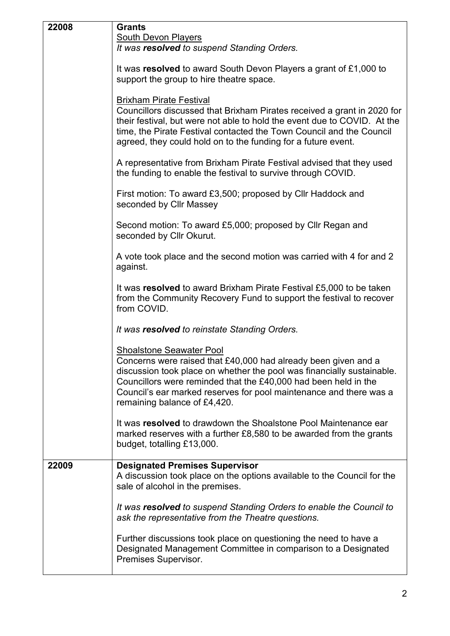| 22008 | <b>Grants</b>                                                                                                                                                                                                                                                                                                                                        |
|-------|------------------------------------------------------------------------------------------------------------------------------------------------------------------------------------------------------------------------------------------------------------------------------------------------------------------------------------------------------|
|       | <b>South Devon Players</b>                                                                                                                                                                                                                                                                                                                           |
|       | It was resolved to suspend Standing Orders.                                                                                                                                                                                                                                                                                                          |
|       | It was resolved to award South Devon Players a grant of £1,000 to<br>support the group to hire theatre space.                                                                                                                                                                                                                                        |
|       | <b>Brixham Pirate Festival</b><br>Councillors discussed that Brixham Pirates received a grant in 2020 for<br>their festival, but were not able to hold the event due to COVID. At the<br>time, the Pirate Festival contacted the Town Council and the Council<br>agreed, they could hold on to the funding for a future event.                       |
|       | A representative from Brixham Pirate Festival advised that they used<br>the funding to enable the festival to survive through COVID.                                                                                                                                                                                                                 |
|       | First motion: To award £3,500; proposed by Cllr Haddock and<br>seconded by Cllr Massey                                                                                                                                                                                                                                                               |
|       | Second motion: To award £5,000; proposed by Cllr Regan and<br>seconded by Cllr Okurut.                                                                                                                                                                                                                                                               |
|       | A vote took place and the second motion was carried with 4 for and 2<br>against.                                                                                                                                                                                                                                                                     |
|       | It was resolved to award Brixham Pirate Festival £5,000 to be taken<br>from the Community Recovery Fund to support the festival to recover<br>from COVID.                                                                                                                                                                                            |
|       | It was resolved to reinstate Standing Orders.                                                                                                                                                                                                                                                                                                        |
|       | <b>Shoalstone Seawater Pool</b><br>Concerns were raised that £40,000 had already been given and a<br>discussion took place on whether the pool was financially sustainable.<br>Councillors were reminded that the £40,000 had been held in the<br>Council's ear marked reserves for pool maintenance and there was a<br>remaining balance of £4,420. |
|       | It was resolved to drawdown the Shoalstone Pool Maintenance ear<br>marked reserves with a further £8,580 to be awarded from the grants<br>budget, totalling £13,000.                                                                                                                                                                                 |
| 22009 | <b>Designated Premises Supervisor</b><br>A discussion took place on the options available to the Council for the<br>sale of alcohol in the premises.                                                                                                                                                                                                 |
|       | It was resolved to suspend Standing Orders to enable the Council to<br>ask the representative from the Theatre questions.                                                                                                                                                                                                                            |
|       | Further discussions took place on questioning the need to have a<br>Designated Management Committee in comparison to a Designated<br>Premises Supervisor.                                                                                                                                                                                            |